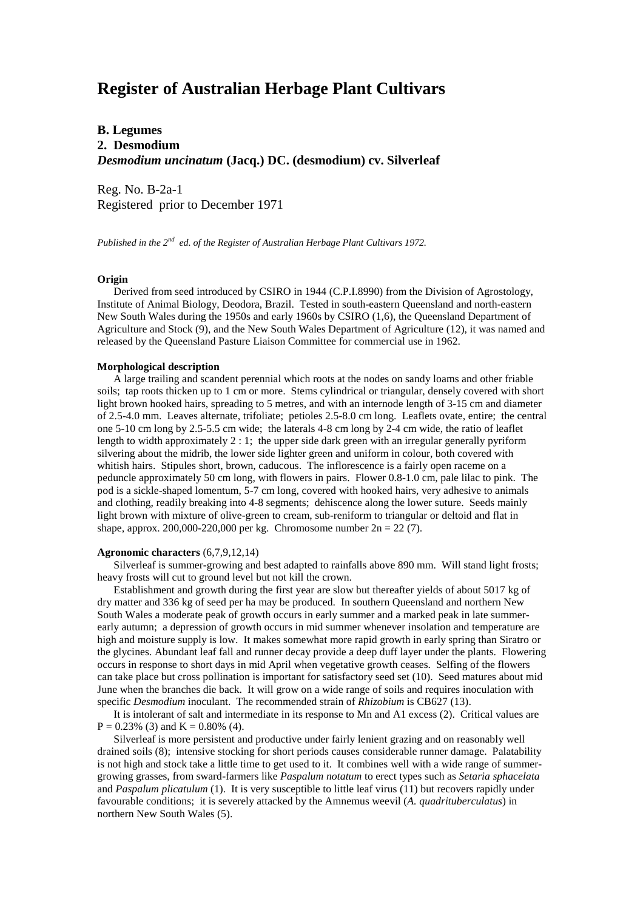# **Register of Australian Herbage Plant Cultivars**

# **B. Legumes 2. Desmodium** *Desmodium uncinatum* **(Jacq.) DC. (desmodium) cv. Silverleaf**

Reg. No. B-2a-1 Registered prior to December 1971

*Published in the 2nd ed. of the Register of Australian Herbage Plant Cultivars 1972.*

## **Origin**

 Derived from seed introduced by CSIRO in 1944 (C.P.I.8990) from the Division of Agrostology, Institute of Animal Biology, Deodora, Brazil. Tested in south-eastern Queensland and north-eastern New South Wales during the 1950s and early 1960s by CSIRO (1,6), the Queensland Department of Agriculture and Stock (9), and the New South Wales Department of Agriculture (12), it was named and released by the Queensland Pasture Liaison Committee for commercial use in 1962.

#### **Morphological description**

 A large trailing and scandent perennial which roots at the nodes on sandy loams and other friable soils; tap roots thicken up to 1 cm or more. Stems cylindrical or triangular, densely covered with short light brown hooked hairs, spreading to 5 metres, and with an internode length of 3-15 cm and diameter of 2.5-4.0 mm. Leaves alternate, trifoliate; petioles 2.5-8.0 cm long. Leaflets ovate, entire; the central one 5-10 cm long by 2.5-5.5 cm wide; the laterals 4-8 cm long by 2-4 cm wide, the ratio of leaflet length to width approximately 2 : 1; the upper side dark green with an irregular generally pyriform silvering about the midrib, the lower side lighter green and uniform in colour, both covered with whitish hairs. Stipules short, brown, caducous. The inflorescence is a fairly open raceme on a peduncle approximately 50 cm long, with flowers in pairs. Flower 0.8-1.0 cm, pale lilac to pink. The pod is a sickle-shaped lomentum, 5-7 cm long, covered with hooked hairs, very adhesive to animals and clothing, readily breaking into 4-8 segments; dehiscence along the lower suture. Seeds mainly light brown with mixture of olive-green to cream, sub-reniform to triangular or deltoid and flat in shape, approx. 200,000-220,000 per kg. Chromosome number  $2n = 22 (7)$ .

## **Agronomic characters** (6,7,9,12,14)

 Silverleaf is summer-growing and best adapted to rainfalls above 890 mm. Will stand light frosts; heavy frosts will cut to ground level but not kill the crown.

 Establishment and growth during the first year are slow but thereafter yields of about 5017 kg of dry matter and 336 kg of seed per ha may be produced. In southern Queensland and northern New South Wales a moderate peak of growth occurs in early summer and a marked peak in late summerearly autumn; a depression of growth occurs in mid summer whenever insolation and temperature are high and moisture supply is low. It makes somewhat more rapid growth in early spring than Siratro or the glycines. Abundant leaf fall and runner decay provide a deep duff layer under the plants. Flowering occurs in response to short days in mid April when vegetative growth ceases. Selfing of the flowers can take place but cross pollination is important for satisfactory seed set (10). Seed matures about mid June when the branches die back. It will grow on a wide range of soils and requires inoculation with specific *Desmodium* inoculant. The recommended strain of *Rhizobium* is CB627 (13).

 It is intolerant of salt and intermediate in its response to Mn and A1 excess (2). Critical values are  $P = 0.23\%$  (3) and  $K = 0.80\%$  (4).

 Silverleaf is more persistent and productive under fairly lenient grazing and on reasonably well drained soils (8); intensive stocking for short periods causes considerable runner damage. Palatability is not high and stock take a little time to get used to it. It combines well with a wide range of summergrowing grasses, from sward-farmers like *Paspalum notatum* to erect types such as *Setaria sphacelata* and *Paspalum plicatulum* (1). It is very susceptible to little leaf virus (11) but recovers rapidly under favourable conditions; it is severely attacked by the Amnemus weevil (*A. quadrituberculatus*) in northern New South Wales (5).